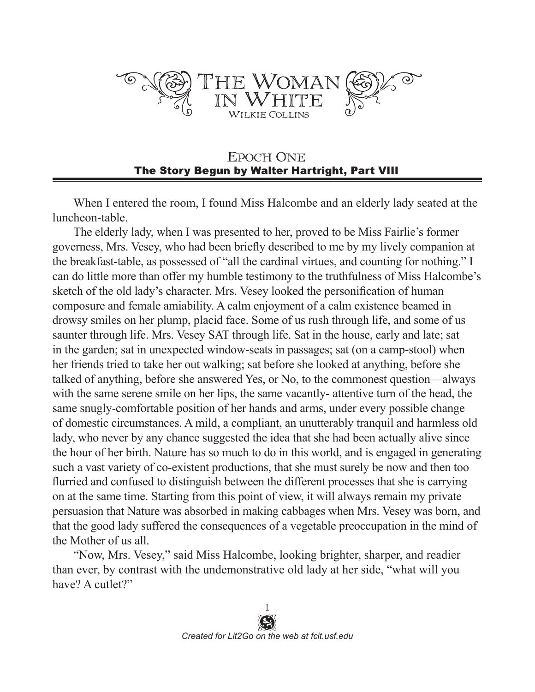

## **EPOCH ONE** The Story Begun by Walter Hartright, Part VIII

When I entered the room, I found Miss Halcombe and an elderly lady seated at the luncheon-table.

The elderly lady, when I was presented to her, proved to be Miss Fairlie's former governess, Mrs. Vesey, who had been briefly described to me by my lively companion at the breakfast-table, as possessed of "all the cardinal virtues, and counting for nothing." I can do little more than offer my humble testimony to the truthfulness of Miss Halcombe's sketch of the old lady's character. Mrs. Vesey looked the personification of human composure and female amiability. A calm enjoyment of a calm existence beamed in drowsy smiles on her plump, placid face. Some of us rush through life, and some of us saunter through life. Mrs. Vesey SAT through life. Sat in the house, early and late; sat in the garden; sat in unexpected window-seats in passages; sat (on a camp-stool) when her friends tried to take her out walking; sat before she looked at anything, before she talked of anything, before she answered Yes, or No, to the commonest question—always with the same serene smile on her lips, the same vacantly- attentive turn of the head, the same snugly-comfortable position of her hands and arms, under every possible change of domestic circumstances. A mild, a compliant, an unutterably tranquil and harmless old lady, who never by any chance suggested the idea that she had been actually alive since the hour of her birth. Nature has so much to do in this world, and is engaged in generating such a vast variety of co-existent productions, that she must surely be now and then too flurried and confused to distinguish between the different processes that she is carrying on at the same time. Starting from this point of view, it will always remain my private persuasion that Nature was absorbed in making cabbages when Mrs. Vesey was born, and that the good lady suffered the consequences of a vegetable preoccupation in the mind of the Mother of us all.

"Now, Mrs. Vesey," said Miss Halcombe, looking brighter, sharper, and readier than ever, by contrast with the undemonstrative old lady at her side, "what will you have? A cutlet?"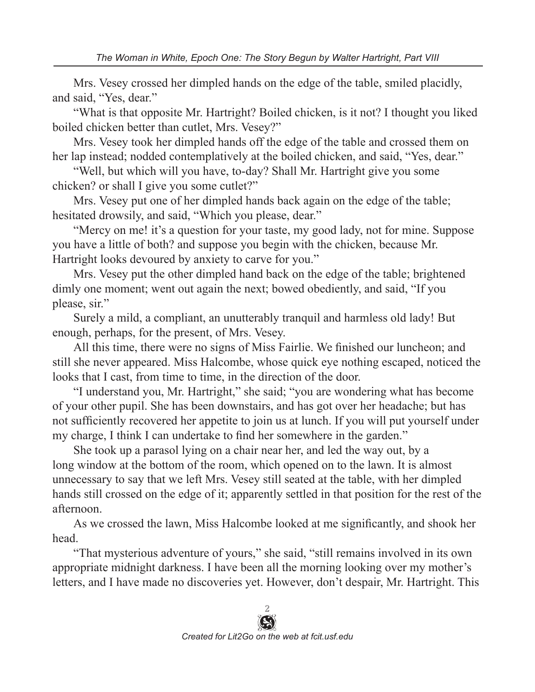Mrs. Vesey crossed her dimpled hands on the edge of the table, smiled placidly, and said, "Yes, dear."

"What is that opposite Mr. Hartright? Boiled chicken, is it not? I thought you liked boiled chicken better than cutlet, Mrs. Vesey?"

Mrs. Vesey took her dimpled hands off the edge of the table and crossed them on her lap instead; nodded contemplatively at the boiled chicken, and said, "Yes, dear."

"Well, but which will you have, to-day? Shall Mr. Hartright give you some chicken? or shall I give you some cutlet?"

Mrs. Vesey put one of her dimpled hands back again on the edge of the table; hesitated drowsily, and said, "Which you please, dear."

"Mercy on me! it's a question for your taste, my good lady, not for mine. Suppose you have a little of both? and suppose you begin with the chicken, because Mr. Hartright looks devoured by anxiety to carve for you."

Mrs. Vesey put the other dimpled hand back on the edge of the table; brightened dimly one moment; went out again the next; bowed obediently, and said, "If you please, sir."

Surely a mild, a compliant, an unutterably tranquil and harmless old lady! But enough, perhaps, for the present, of Mrs. Vesey.

All this time, there were no signs of Miss Fairlie. We finished our luncheon; and still she never appeared. Miss Halcombe, whose quick eye nothing escaped, noticed the looks that I cast, from time to time, in the direction of the door.

"I understand you, Mr. Hartright," she said; "you are wondering what has become of your other pupil. She has been downstairs, and has got over her headache; but has not sufficiently recovered her appetite to join us at lunch. If you will put yourself under my charge, I think I can undertake to find her somewhere in the garden."

She took up a parasol lying on a chair near her, and led the way out, by a long window at the bottom of the room, which opened on to the lawn. It is almost unnecessary to say that we left Mrs. Vesey still seated at the table, with her dimpled hands still crossed on the edge of it; apparently settled in that position for the rest of the afternoon.

As we crossed the lawn, Miss Halcombe looked at me significantly, and shook her head.

"That mysterious adventure of yours," she said, "still remains involved in its own appropriate midnight darkness. I have been all the morning looking over my mother's letters, and I have made no discoveries yet. However, don't despair, Mr. Hartright. This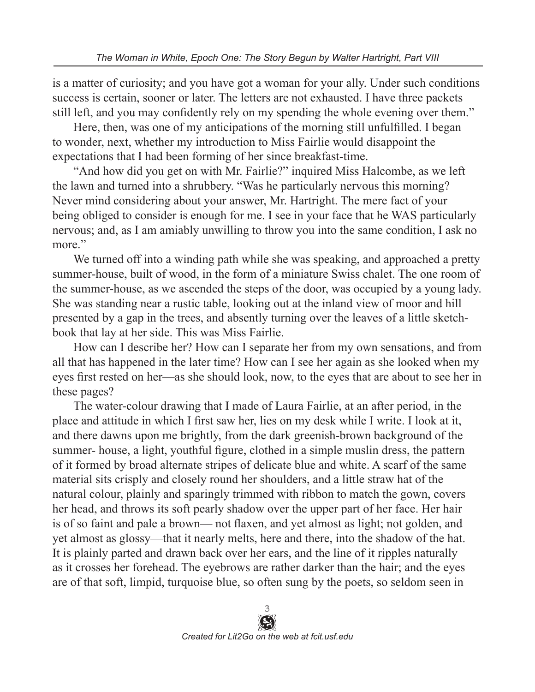is a matter of curiosity; and you have got a woman for your ally. Under such conditions success is certain, sooner or later. The letters are not exhausted. I have three packets still left, and you may confidently rely on my spending the whole evening over them."

Here, then, was one of my anticipations of the morning still unfulfilled. I began to wonder, next, whether my introduction to Miss Fairlie would disappoint the expectations that I had been forming of her since breakfast-time.

"And how did you get on with Mr. Fairlie?" inquired Miss Halcombe, as we left the lawn and turned into a shrubbery. "Was he particularly nervous this morning? Never mind considering about your answer, Mr. Hartright. The mere fact of your being obliged to consider is enough for me. I see in your face that he WAS particularly nervous; and, as I am amiably unwilling to throw you into the same condition, I ask no more."

We turned off into a winding path while she was speaking, and approached a pretty summer-house, built of wood, in the form of a miniature Swiss chalet. The one room of the summer-house, as we ascended the steps of the door, was occupied by a young lady. She was standing near a rustic table, looking out at the inland view of moor and hill presented by a gap in the trees, and absently turning over the leaves of a little sketchbook that lay at her side. This was Miss Fairlie.

How can I describe her? How can I separate her from my own sensations, and from all that has happened in the later time? How can I see her again as she looked when my eyes first rested on her—as she should look, now, to the eyes that are about to see her in these pages?

The water-colour drawing that I made of Laura Fairlie, at an after period, in the place and attitude in which I first saw her, lies on my desk while I write. I look at it, and there dawns upon me brightly, from the dark greenish-brown background of the summer- house, a light, youthful figure, clothed in a simple muslin dress, the pattern of it formed by broad alternate stripes of delicate blue and white. A scarf of the same material sits crisply and closely round her shoulders, and a little straw hat of the natural colour, plainly and sparingly trimmed with ribbon to match the gown, covers her head, and throws its soft pearly shadow over the upper part of her face. Her hair is of so faint and pale a brown— not flaxen, and yet almost as light; not golden, and yet almost as glossy—that it nearly melts, here and there, into the shadow of the hat. It is plainly parted and drawn back over her ears, and the line of it ripples naturally as it crosses her forehead. The eyebrows are rather darker than the hair; and the eyes are of that soft, limpid, turquoise blue, so often sung by the poets, so seldom seen in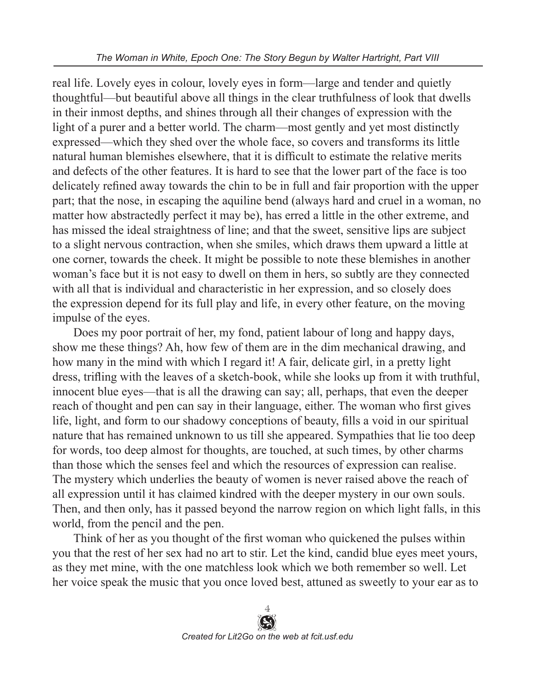real life. Lovely eyes in colour, lovely eyes in form—large and tender and quietly thoughtful—but beautiful above all things in the clear truthfulness of look that dwells in their inmost depths, and shines through all their changes of expression with the light of a purer and a better world. The charm—most gently and yet most distinctly expressed—which they shed over the whole face, so covers and transforms its little natural human blemishes elsewhere, that it is difficult to estimate the relative merits and defects of the other features. It is hard to see that the lower part of the face is too delicately refined away towards the chin to be in full and fair proportion with the upper part; that the nose, in escaping the aquiline bend (always hard and cruel in a woman, no matter how abstractedly perfect it may be), has erred a little in the other extreme, and has missed the ideal straightness of line; and that the sweet, sensitive lips are subject to a slight nervous contraction, when she smiles, which draws them upward a little at one corner, towards the cheek. It might be possible to note these blemishes in another woman's face but it is not easy to dwell on them in hers, so subtly are they connected with all that is individual and characteristic in her expression, and so closely does the expression depend for its full play and life, in every other feature, on the moving impulse of the eyes.

Does my poor portrait of her, my fond, patient labour of long and happy days, show me these things? Ah, how few of them are in the dim mechanical drawing, and how many in the mind with which I regard it! A fair, delicate girl, in a pretty light dress, trifling with the leaves of a sketch-book, while she looks up from it with truthful, innocent blue eyes—that is all the drawing can say; all, perhaps, that even the deeper reach of thought and pen can say in their language, either. The woman who first gives life, light, and form to our shadowy conceptions of beauty, fills a void in our spiritual nature that has remained unknown to us till she appeared. Sympathies that lie too deep for words, too deep almost for thoughts, are touched, at such times, by other charms than those which the senses feel and which the resources of expression can realise. The mystery which underlies the beauty of women is never raised above the reach of all expression until it has claimed kindred with the deeper mystery in our own souls. Then, and then only, has it passed beyond the narrow region on which light falls, in this world, from the pencil and the pen.

Think of her as you thought of the first woman who quickened the pulses within you that the rest of her sex had no art to stir. Let the kind, candid blue eyes meet yours, as they met mine, with the one matchless look which we both remember so well. Let her voice speak the music that you once loved best, attuned as sweetly to your ear as to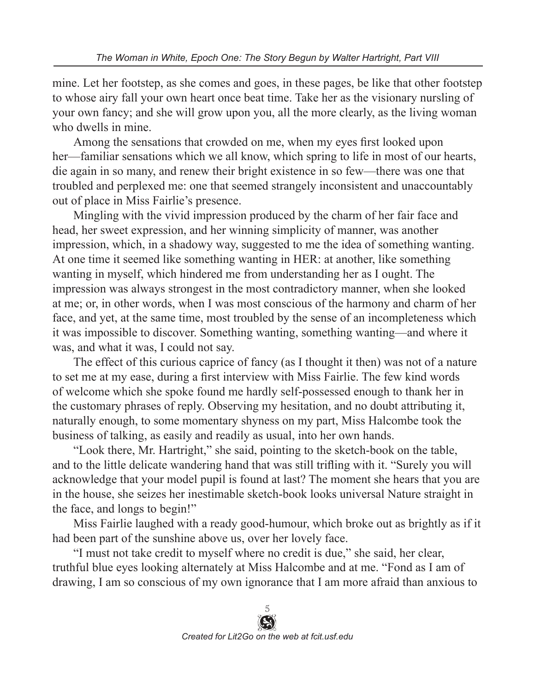mine. Let her footstep, as she comes and goes, in these pages, be like that other footstep to whose airy fall your own heart once beat time. Take her as the visionary nursling of your own fancy; and she will grow upon you, all the more clearly, as the living woman who dwells in mine.

Among the sensations that crowded on me, when my eyes first looked upon her—familiar sensations which we all know, which spring to life in most of our hearts, die again in so many, and renew their bright existence in so few—there was one that troubled and perplexed me: one that seemed strangely inconsistent and unaccountably out of place in Miss Fairlie's presence.

Mingling with the vivid impression produced by the charm of her fair face and head, her sweet expression, and her winning simplicity of manner, was another impression, which, in a shadowy way, suggested to me the idea of something wanting. At one time it seemed like something wanting in HER: at another, like something wanting in myself, which hindered me from understanding her as I ought. The impression was always strongest in the most contradictory manner, when she looked at me; or, in other words, when I was most conscious of the harmony and charm of her face, and yet, at the same time, most troubled by the sense of an incompleteness which it was impossible to discover. Something wanting, something wanting—and where it was, and what it was, I could not say.

The effect of this curious caprice of fancy (as I thought it then) was not of a nature to set me at my ease, during a first interview with Miss Fairlie. The few kind words of welcome which she spoke found me hardly self-possessed enough to thank her in the customary phrases of reply. Observing my hesitation, and no doubt attributing it, naturally enough, to some momentary shyness on my part, Miss Halcombe took the business of talking, as easily and readily as usual, into her own hands.

"Look there, Mr. Hartright," she said, pointing to the sketch-book on the table, and to the little delicate wandering hand that was still trifling with it. "Surely you will acknowledge that your model pupil is found at last? The moment she hears that you are in the house, she seizes her inestimable sketch-book looks universal Nature straight in the face, and longs to begin!"

Miss Fairlie laughed with a ready good-humour, which broke out as brightly as if it had been part of the sunshine above us, over her lovely face.

"I must not take credit to myself where no credit is due," she said, her clear, truthful blue eyes looking alternately at Miss Halcombe and at me. "Fond as I am of drawing, I am so conscious of my own ignorance that I am more afraid than anxious to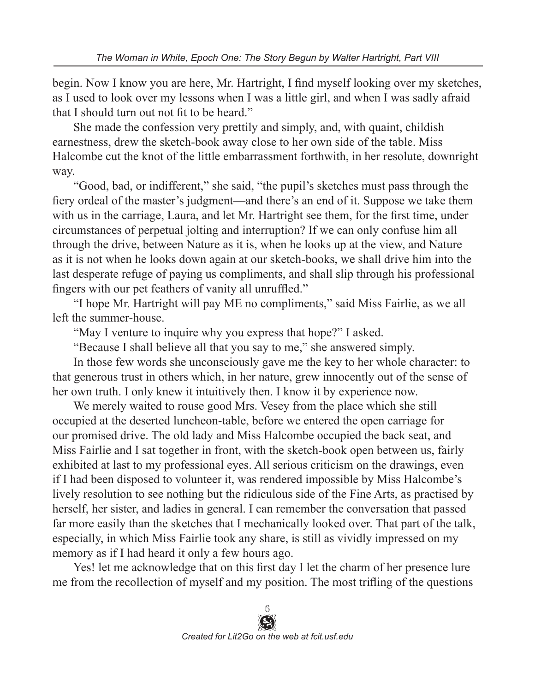begin. Now I know you are here, Mr. Hartright, I find myself looking over my sketches, as I used to look over my lessons when I was a little girl, and when I was sadly afraid that I should turn out not fit to be heard."

She made the confession very prettily and simply, and, with quaint, childish earnestness, drew the sketch-book away close to her own side of the table. Miss Halcombe cut the knot of the little embarrassment forthwith, in her resolute, downright way.

"Good, bad, or indifferent," she said, "the pupil's sketches must pass through the fiery ordeal of the master's judgment—and there's an end of it. Suppose we take them with us in the carriage, Laura, and let Mr. Hartright see them, for the first time, under circumstances of perpetual jolting and interruption? If we can only confuse him all through the drive, between Nature as it is, when he looks up at the view, and Nature as it is not when he looks down again at our sketch-books, we shall drive him into the last desperate refuge of paying us compliments, and shall slip through his professional fingers with our pet feathers of vanity all unruffled."

"I hope Mr. Hartright will pay ME no compliments," said Miss Fairlie, as we all left the summer-house.

"May I venture to inquire why you express that hope?" I asked.

"Because I shall believe all that you say to me," she answered simply.

In those few words she unconsciously gave me the key to her whole character: to that generous trust in others which, in her nature, grew innocently out of the sense of her own truth. I only knew it intuitively then. I know it by experience now.

We merely waited to rouse good Mrs. Vesey from the place which she still occupied at the deserted luncheon-table, before we entered the open carriage for our promised drive. The old lady and Miss Halcombe occupied the back seat, and Miss Fairlie and I sat together in front, with the sketch-book open between us, fairly exhibited at last to my professional eyes. All serious criticism on the drawings, even if I had been disposed to volunteer it, was rendered impossible by Miss Halcombe's lively resolution to see nothing but the ridiculous side of the Fine Arts, as practised by herself, her sister, and ladies in general. I can remember the conversation that passed far more easily than the sketches that I mechanically looked over. That part of the talk, especially, in which Miss Fairlie took any share, is still as vividly impressed on my memory as if I had heard it only a few hours ago.

Yes! let me acknowledge that on this first day I let the charm of her presence lure me from the recollection of myself and my position. The most trifling of the questions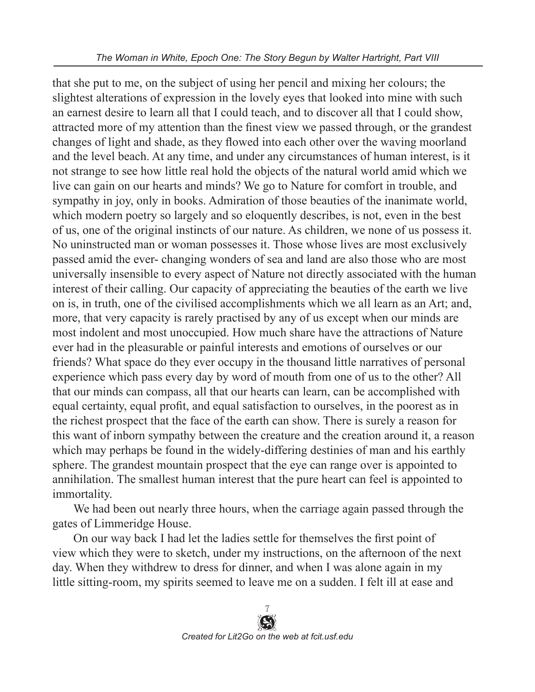that she put to me, on the subject of using her pencil and mixing her colours; the slightest alterations of expression in the lovely eyes that looked into mine with such an earnest desire to learn all that I could teach, and to discover all that I could show, attracted more of my attention than the finest view we passed through, or the grandest changes of light and shade, as they flowed into each other over the waving moorland and the level beach. At any time, and under any circumstances of human interest, is it not strange to see how little real hold the objects of the natural world amid which we live can gain on our hearts and minds? We go to Nature for comfort in trouble, and sympathy in joy, only in books. Admiration of those beauties of the inanimate world, which modern poetry so largely and so eloquently describes, is not, even in the best of us, one of the original instincts of our nature. As children, we none of us possess it. No uninstructed man or woman possesses it. Those whose lives are most exclusively passed amid the ever- changing wonders of sea and land are also those who are most universally insensible to every aspect of Nature not directly associated with the human interest of their calling. Our capacity of appreciating the beauties of the earth we live on is, in truth, one of the civilised accomplishments which we all learn as an Art; and, more, that very capacity is rarely practised by any of us except when our minds are most indolent and most unoccupied. How much share have the attractions of Nature ever had in the pleasurable or painful interests and emotions of ourselves or our friends? What space do they ever occupy in the thousand little narratives of personal experience which pass every day by word of mouth from one of us to the other? All that our minds can compass, all that our hearts can learn, can be accomplished with equal certainty, equal profit, and equal satisfaction to ourselves, in the poorest as in the richest prospect that the face of the earth can show. There is surely a reason for this want of inborn sympathy between the creature and the creation around it, a reason which may perhaps be found in the widely-differing destinies of man and his earthly sphere. The grandest mountain prospect that the eye can range over is appointed to annihilation. The smallest human interest that the pure heart can feel is appointed to immortality.

We had been out nearly three hours, when the carriage again passed through the gates of Limmeridge House.

On our way back I had let the ladies settle for themselves the first point of view which they were to sketch, under my instructions, on the afternoon of the next day. When they withdrew to dress for dinner, and when I was alone again in my little sitting-room, my spirits seemed to leave me on a sudden. I felt ill at ease and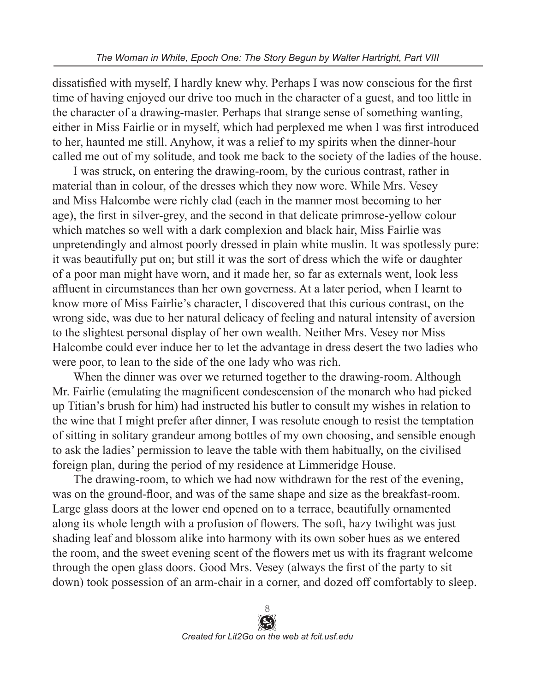dissatisfied with myself, I hardly knew why. Perhaps I was now conscious for the first time of having enjoyed our drive too much in the character of a guest, and too little in the character of a drawing-master. Perhaps that strange sense of something wanting, either in Miss Fairlie or in myself, which had perplexed me when I was first introduced to her, haunted me still. Anyhow, it was a relief to my spirits when the dinner-hour called me out of my solitude, and took me back to the society of the ladies of the house.

I was struck, on entering the drawing-room, by the curious contrast, rather in material than in colour, of the dresses which they now wore. While Mrs. Vesey and Miss Halcombe were richly clad (each in the manner most becoming to her age), the first in silver-grey, and the second in that delicate primrose-yellow colour which matches so well with a dark complexion and black hair, Miss Fairlie was unpretendingly and almost poorly dressed in plain white muslin. It was spotlessly pure: it was beautifully put on; but still it was the sort of dress which the wife or daughter of a poor man might have worn, and it made her, so far as externals went, look less affluent in circumstances than her own governess. At a later period, when I learnt to know more of Miss Fairlie's character, I discovered that this curious contrast, on the wrong side, was due to her natural delicacy of feeling and natural intensity of aversion to the slightest personal display of her own wealth. Neither Mrs. Vesey nor Miss Halcombe could ever induce her to let the advantage in dress desert the two ladies who were poor, to lean to the side of the one lady who was rich.

When the dinner was over we returned together to the drawing-room. Although Mr. Fairlie (emulating the magnificent condescension of the monarch who had picked up Titian's brush for him) had instructed his butler to consult my wishes in relation to the wine that I might prefer after dinner, I was resolute enough to resist the temptation of sitting in solitary grandeur among bottles of my own choosing, and sensible enough to ask the ladies' permission to leave the table with them habitually, on the civilised foreign plan, during the period of my residence at Limmeridge House.

The drawing-room, to which we had now withdrawn for the rest of the evening, was on the ground-floor, and was of the same shape and size as the breakfast-room. Large glass doors at the lower end opened on to a terrace, beautifully ornamented along its whole length with a profusion of flowers. The soft, hazy twilight was just shading leaf and blossom alike into harmony with its own sober hues as we entered the room, and the sweet evening scent of the flowers met us with its fragrant welcome through the open glass doors. Good Mrs. Vesey (always the first of the party to sit down) took possession of an arm-chair in a corner, and dozed off comfortably to sleep.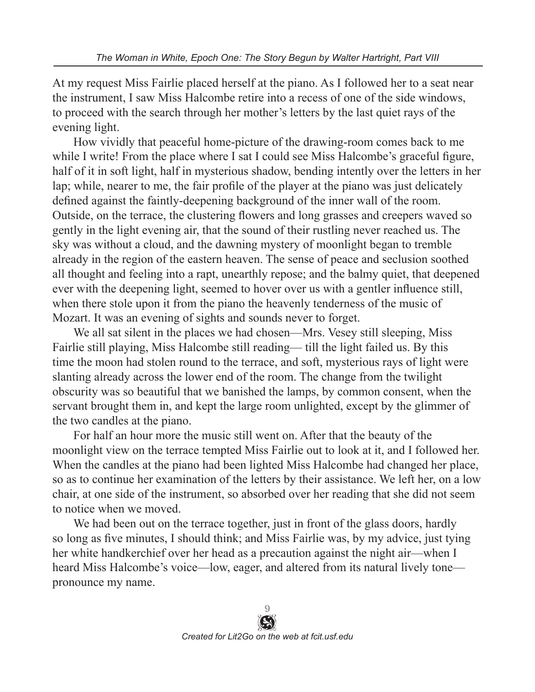At my request Miss Fairlie placed herself at the piano. As I followed her to a seat near the instrument, I saw Miss Halcombe retire into a recess of one of the side windows, to proceed with the search through her mother's letters by the last quiet rays of the evening light.

How vividly that peaceful home-picture of the drawing-room comes back to me while I write! From the place where I sat I could see Miss Halcombe's graceful figure, half of it in soft light, half in mysterious shadow, bending intently over the letters in her lap; while, nearer to me, the fair profile of the player at the piano was just delicately defined against the faintly-deepening background of the inner wall of the room. Outside, on the terrace, the clustering flowers and long grasses and creepers waved so gently in the light evening air, that the sound of their rustling never reached us. The sky was without a cloud, and the dawning mystery of moonlight began to tremble already in the region of the eastern heaven. The sense of peace and seclusion soothed all thought and feeling into a rapt, unearthly repose; and the balmy quiet, that deepened ever with the deepening light, seemed to hover over us with a gentler influence still, when there stole upon it from the piano the heavenly tenderness of the music of Mozart. It was an evening of sights and sounds never to forget.

We all sat silent in the places we had chosen—Mrs. Vesey still sleeping, Miss Fairlie still playing, Miss Halcombe still reading— till the light failed us. By this time the moon had stolen round to the terrace, and soft, mysterious rays of light were slanting already across the lower end of the room. The change from the twilight obscurity was so beautiful that we banished the lamps, by common consent, when the servant brought them in, and kept the large room unlighted, except by the glimmer of the two candles at the piano.

For half an hour more the music still went on. After that the beauty of the moonlight view on the terrace tempted Miss Fairlie out to look at it, and I followed her. When the candles at the piano had been lighted Miss Halcombe had changed her place, so as to continue her examination of the letters by their assistance. We left her, on a low chair, at one side of the instrument, so absorbed over her reading that she did not seem to notice when we moved.

We had been out on the terrace together, just in front of the glass doors, hardly so long as five minutes, I should think; and Miss Fairlie was, by my advice, just tying her white handkerchief over her head as a precaution against the night air—when I heard Miss Halcombe's voice—low, eager, and altered from its natural lively tone pronounce my name.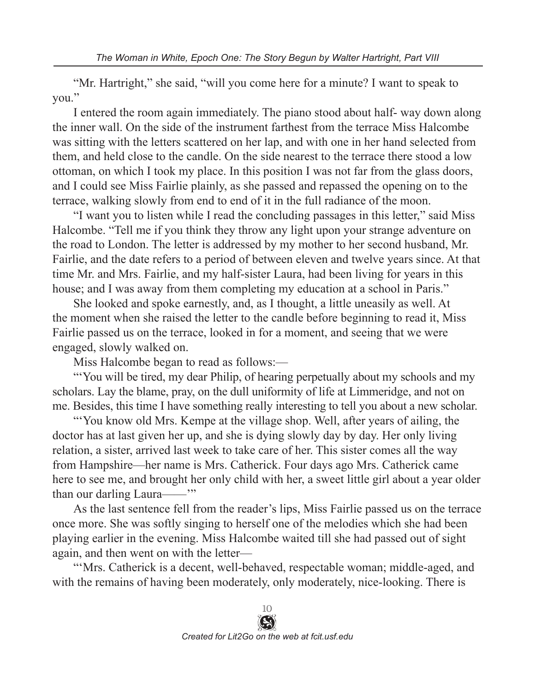"Mr. Hartright," she said, "will you come here for a minute? I want to speak to you."

I entered the room again immediately. The piano stood about half- way down along the inner wall. On the side of the instrument farthest from the terrace Miss Halcombe was sitting with the letters scattered on her lap, and with one in her hand selected from them, and held close to the candle. On the side nearest to the terrace there stood a low ottoman, on which I took my place. In this position I was not far from the glass doors, and I could see Miss Fairlie plainly, as she passed and repassed the opening on to the terrace, walking slowly from end to end of it in the full radiance of the moon.

"I want you to listen while I read the concluding passages in this letter," said Miss Halcombe. "Tell me if you think they throw any light upon your strange adventure on the road to London. The letter is addressed by my mother to her second husband, Mr. Fairlie, and the date refers to a period of between eleven and twelve years since. At that time Mr. and Mrs. Fairlie, and my half-sister Laura, had been living for years in this house; and I was away from them completing my education at a school in Paris."

She looked and spoke earnestly, and, as I thought, a little uneasily as well. At the moment when she raised the letter to the candle before beginning to read it, Miss Fairlie passed us on the terrace, looked in for a moment, and seeing that we were engaged, slowly walked on.

Miss Halcombe began to read as follows:—

"'You will be tired, my dear Philip, of hearing perpetually about my schools and my scholars. Lay the blame, pray, on the dull uniformity of life at Limmeridge, and not on me. Besides, this time I have something really interesting to tell you about a new scholar.

"'You know old Mrs. Kempe at the village shop. Well, after years of ailing, the doctor has at last given her up, and she is dying slowly day by day. Her only living relation, a sister, arrived last week to take care of her. This sister comes all the way from Hampshire—her name is Mrs. Catherick. Four days ago Mrs. Catherick came here to see me, and brought her only child with her, a sweet little girl about a year older than our darling Laura——'"

As the last sentence fell from the reader's lips, Miss Fairlie passed us on the terrace once more. She was softly singing to herself one of the melodies which she had been playing earlier in the evening. Miss Halcombe waited till she had passed out of sight again, and then went on with the letter—

"'Mrs. Catherick is a decent, well-behaved, respectable woman; middle-aged, and with the remains of having been moderately, only moderately, nice-looking. There is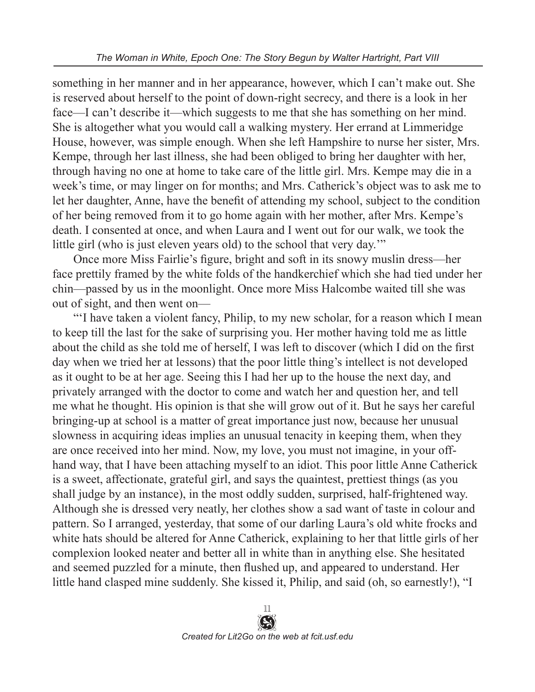something in her manner and in her appearance, however, which I can't make out. She is reserved about herself to the point of down-right secrecy, and there is a look in her face—I can't describe it—which suggests to me that she has something on her mind. She is altogether what you would call a walking mystery. Her errand at Limmeridge House, however, was simple enough. When she left Hampshire to nurse her sister, Mrs. Kempe, through her last illness, she had been obliged to bring her daughter with her, through having no one at home to take care of the little girl. Mrs. Kempe may die in a week's time, or may linger on for months; and Mrs. Catherick's object was to ask me to let her daughter, Anne, have the benefit of attending my school, subject to the condition of her being removed from it to go home again with her mother, after Mrs. Kempe's death. I consented at once, and when Laura and I went out for our walk, we took the little girl (who is just eleven years old) to the school that very day.'"

Once more Miss Fairlie's figure, bright and soft in its snowy muslin dress—her face prettily framed by the white folds of the handkerchief which she had tied under her chin—passed by us in the moonlight. Once more Miss Halcombe waited till she was out of sight, and then went on—

"'I have taken a violent fancy, Philip, to my new scholar, for a reason which I mean to keep till the last for the sake of surprising you. Her mother having told me as little about the child as she told me of herself, I was left to discover (which I did on the first day when we tried her at lessons) that the poor little thing's intellect is not developed as it ought to be at her age. Seeing this I had her up to the house the next day, and privately arranged with the doctor to come and watch her and question her, and tell me what he thought. His opinion is that she will grow out of it. But he says her careful bringing-up at school is a matter of great importance just now, because her unusual slowness in acquiring ideas implies an unusual tenacity in keeping them, when they are once received into her mind. Now, my love, you must not imagine, in your offhand way, that I have been attaching myself to an idiot. This poor little Anne Catherick is a sweet, affectionate, grateful girl, and says the quaintest, prettiest things (as you shall judge by an instance), in the most oddly sudden, surprised, half-frightened way. Although she is dressed very neatly, her clothes show a sad want of taste in colour and pattern. So I arranged, yesterday, that some of our darling Laura's old white frocks and white hats should be altered for Anne Catherick, explaining to her that little girls of her complexion looked neater and better all in white than in anything else. She hesitated and seemed puzzled for a minute, then flushed up, and appeared to understand. Her little hand clasped mine suddenly. She kissed it, Philip, and said (oh, so earnestly!), "I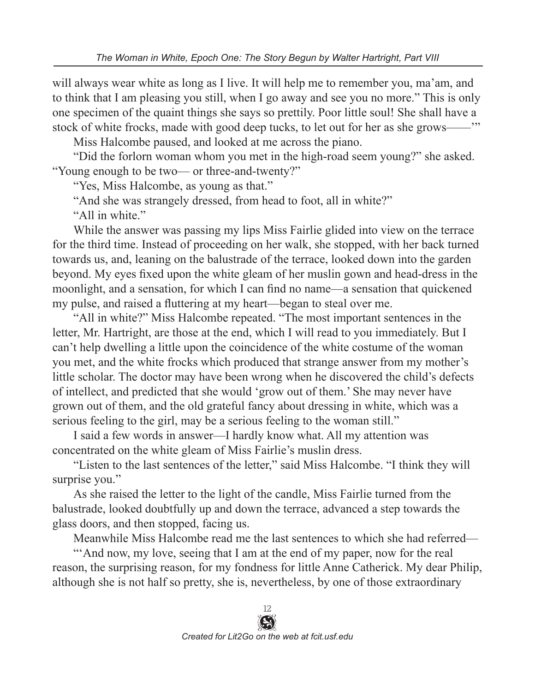will always wear white as long as I live. It will help me to remember you, ma'am, and to think that I am pleasing you still, when I go away and see you no more." This is only one specimen of the quaint things she says so prettily. Poor little soul! She shall have a stock of white frocks, made with good deep tucks, to let out for her as she grows——'"

Miss Halcombe paused, and looked at me across the piano.

"Did the forlorn woman whom you met in the high-road seem young?" she asked. "Young enough to be two— or three-and-twenty?"

"Yes, Miss Halcombe, as young as that."

"And she was strangely dressed, from head to foot, all in white?"

"All in white."

While the answer was passing my lips Miss Fairlie glided into view on the terrace for the third time. Instead of proceeding on her walk, she stopped, with her back turned towards us, and, leaning on the balustrade of the terrace, looked down into the garden beyond. My eyes fixed upon the white gleam of her muslin gown and head-dress in the moonlight, and a sensation, for which I can find no name—a sensation that quickened my pulse, and raised a fluttering at my heart—began to steal over me.

"All in white?" Miss Halcombe repeated. "The most important sentences in the letter, Mr. Hartright, are those at the end, which I will read to you immediately. But I can't help dwelling a little upon the coincidence of the white costume of the woman you met, and the white frocks which produced that strange answer from my mother's little scholar. The doctor may have been wrong when he discovered the child's defects of intellect, and predicted that she would 'grow out of them.' She may never have grown out of them, and the old grateful fancy about dressing in white, which was a serious feeling to the girl, may be a serious feeling to the woman still."

I said a few words in answer—I hardly know what. All my attention was concentrated on the white gleam of Miss Fairlie's muslin dress.

"Listen to the last sentences of the letter," said Miss Halcombe. "I think they will surprise you."

As she raised the letter to the light of the candle, Miss Fairlie turned from the balustrade, looked doubtfully up and down the terrace, advanced a step towards the glass doors, and then stopped, facing us.

Meanwhile Miss Halcombe read me the last sentences to which she had referred—

"'And now, my love, seeing that I am at the end of my paper, now for the real reason, the surprising reason, for my fondness for little Anne Catherick. My dear Philip, although she is not half so pretty, she is, nevertheless, by one of those extraordinary